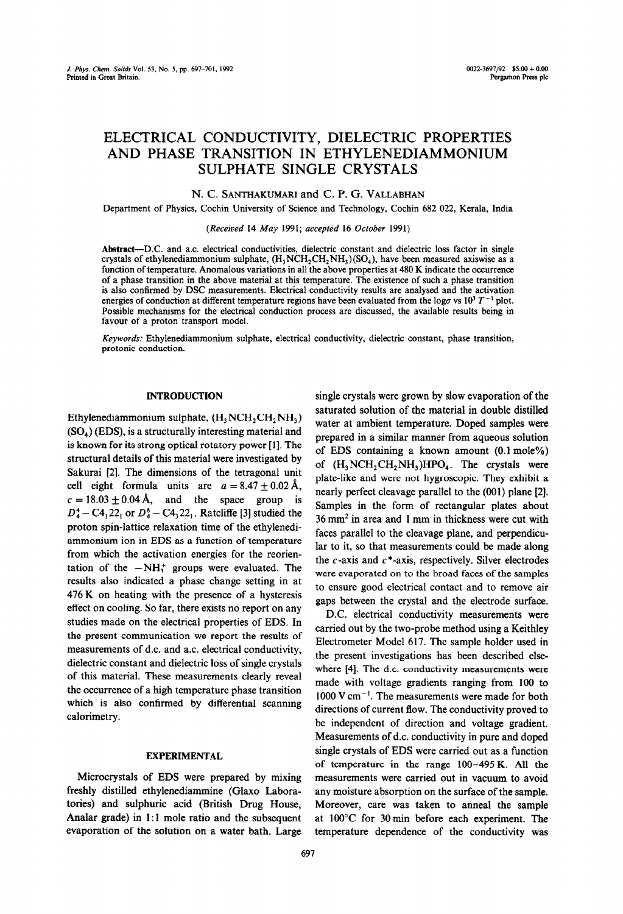# ELECTRICAL CONDUCTIVITY, DIELECTRIC PROPERTIES AND PHASE TRANSITION IN ETHYLENEDIAMMONIUM SULPHATE SINGLE CRYSTALS

## N. C. SANTHAKUMARI and C. P. G. VALLABHAN

Department of Physics, Cochin University of Science and Technology, Cochin 682 022, Kerala, India

## *(Received* 14 May 1991; accepted 16 *October* 1991)

**Abstract-DC.** and ac. electrical conductivities, dielectric constant and dielectric loss factor in single crystals of ethylenediammonium sulphate,  $(H_1NCH_2CH_2NH_1)(SO_4)$ , have been measured axiswise as a function of temperature. Anomalous variations in all the above properties at 480 K indicate the occurrence of a phase transition in the above material at this temperature. The existence of such a phase transition is also confirmed by DSC measurements. Electrical conductivity results are analysed and the activation energies of conduction at different temperature regions have been evaluated from the logo vs  $10^3 T^{-1}$  plot. Possible mechanisms for the electrical conduction process are discussed, the available results being in favour of a proton transport model.

*Keywords:* Ethylenediammonium sulphate, electrical conductivity, dielectric constant, phase transition, protonic conduction.

### **INTRODUCTION**

Ethylenediammonium sulphate,  $(H, NCH, CH, NH<sub>3</sub>)$  $(SO<sub>4</sub>)$  (EDS), is a structurally interesting material and is known for its strong optical rotatory power [1]. The structural details of this material were investigated by Sakurai [2]. The dimensions of the tetragonal unit cell eight formula units are  $a = 8.47 \pm 0.02$  Å,  $c = 18.03 \pm 0.04$  Å, and the space group is  $D_4^4 - C_4^2 + 2_1^2$  or  $D_4^8 - C_4^2 + 2_1^2$ . Ratcliffe [3] studied the proton spin-lattice relaxation time of the ethylenediammonium ion in EDS as a function of temperature from which the activation energies for the reorientation of the  $-NH_3^+$  groups were evaluated. The results also indicated a phase change setting in at 476 K on heating with the presence of a hysteresis effect on cooling. So far, there exists no report on any studies made on the electrical properties of EDS. In the present communication we report the results of measurements of d.c. and a.c. electrical conductivity, dielectric constant and dielectric loss of single crystals of this material. These measurements clearly reveal the occurrence of a high temperature phase transition which is also confirmed by differential scanning calorimetry.

## **EXPERIMENTAL**

Microcrystals of EDS were prepared by mixing freshly distilled ethylenediammine (Glaxo Laboratories) and sulphuric acid (British Drug House, Analar grade) in 1:1 mole ratio and the subsequent evaporation of the solution on a water bath. Large

single crystals were grown by slow evaporation of the saturated solution of the material in double distilled water at ambient temperature. Doped samples were prepared in a similar manner from aqueous solution of EDS containing a known amount (0.1 mole%) of  $(H_3NCH_2CH_2NH_3)HPO_4$ . The crystals were plate-like and were not hygroscopic. They exhibit a nearly perfect cleavage parallel to the (001) plane [2]. Samples in the form of rectangular plates about 36 mm2 in area and 1 mm in thickness were cut with faces parallel to the cleavage plane, and perpendicular to it, so that measurements could be made along the  $c$ -axis and  $c$ \*-axis, respectively. Silver electrodes were evaporated on to the broad faces of the samples to ensure good electrical contact and to remove air gaps between the crystal and the electrode surface.

D.C. electrical conductivity measurements were carried out by the two-probe method using a Keithley Electrometer Model 617. The sample holder used in the present investigations has been described elsewhere  $[4]$ . The d.c. conductivity measurements were made with voltage gradients ranging from 100 to  $1000 \text{ V cm}^{-1}$ . The measurements were made for both directions of current flow. The conductivity proved to be independent of direction and voltage gradient. Measurements of d-c. conductivity in pure and doped single crystals of EDS were carried out as a function of temperature in the range  $100-495$  K. All the measurements were carried out in vacuum to avoid any moisture absorption on the surface of the sample. Moreover, care was taken to anneal the sample at 100°C for 30 min before each experiment. The temperature dependence of the conductivity was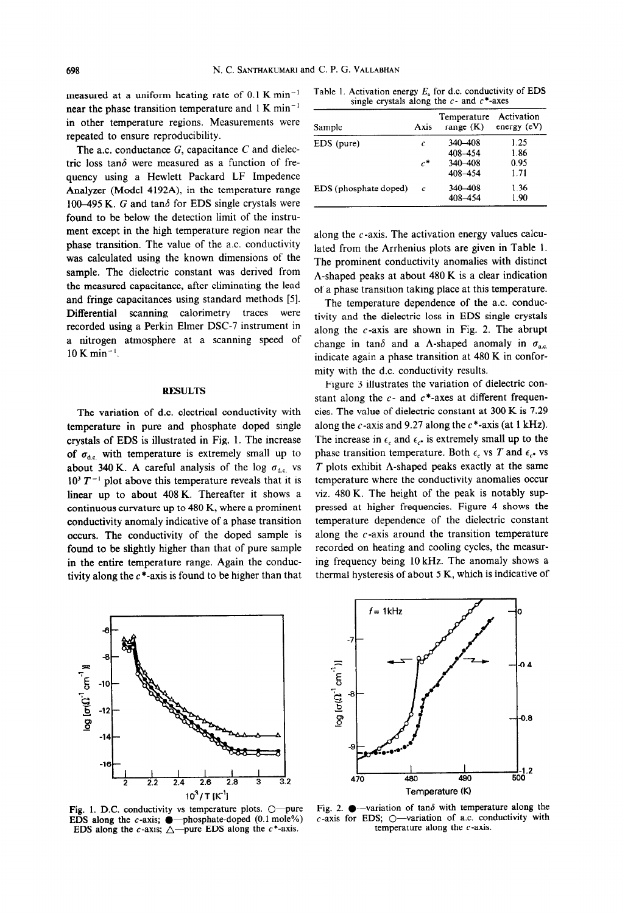measured at a uniform heating rate of 0.1 K min-' near the phase transition temperature and  $1 \text{ K min}^{-1}$ in other temperature regions. Measurements were repeated to ensure reproducibility.

The a.c. conductance  $G$ , capacitance  $C$  and dielectric loss tan $\delta$  were measured as a function of frequency using a Hewlett Packard LF Impedence Analyzer (Model 4192A), in the temperature range 100-495 K. G and tan $\delta$  for EDS single crystals were found to be below the detection limit of the instrument except in the high temperature region near the phase transition. The value of the a.c. conductivity was calculated using the known dimensions of the sample. The dielectric constant was derived from the measured capacitance, after eliminating the lead and fringe capacitances using standard methods [5]. Differential scanning calorimetry traces were recorded using a Perkin Elmer DSC-7 instrument in a nitrogen atmosphere at a scanning speed of  $10 K min^{-1}$ .

#### RESULTS

The variation of d.c. electrical conductivity with temperature in pure and phosphate doped single crystals of EDS is illustrated in Fig. 1. The increase of  $\sigma_{\text{dc}}$  with temperature is extremely small up to about 340 K. A careful analysis of the log  $\sigma_{d,c}$  vs  $10^3 T^{-1}$  plot above this temperature reveals that it is linear up to about 408 K. Thereafter it shows a continuous curvature up to 480 K, where a prominent conductivity anomaly indicative of a phase transition occurs. The conductivity of the doped sample is found to be slightly higher than that of pure sample in the entire temperature range. Again the conductivity along the  $c^*$ -axis is found to be higher than that

Table 1. **Activation** energy E, for d.c. conductivity of EDS single crystals along the  $c$ - and  $c^*$ -axes

| Sample                | Axis             | Temperature<br>range $(K)$ | Activation<br>energy $(eV)$ |
|-----------------------|------------------|----------------------------|-----------------------------|
| EDS (pure)            | c                | 340-408                    | 1.25                        |
|                       |                  | 408-454                    | 1.86                        |
|                       | $\mathfrak{c}^*$ | 340-408                    | 0.95                        |
|                       |                  | 408-454                    | 1.71                        |
| EDS (phosphate doped) | c                | 340-408                    | 1.36                        |
|                       |                  | 408-454                    | 1.90                        |

along the  $c$ -axis. The activation energy values calculated from the Arrhenius plots are given in Table 1. The prominent conductivity anomalies with distinct A-shaped peaks at about 480 K is a clear indication of a phase transition taking place at this temperature.

The temperature dependence of the a.c. conductivity and the dielectric loss in EDS single crystals along the  $c$ -axis are shown in Fig. 2. The abrupt change in tan $\delta$  and a  $\Lambda$ -shaped anomaly in  $\sigma_{a.c.}$ indicate again a phase transition at 480 K in conformity with the d.c. conductivity results.

Figure 3 illustrates the variation of dielectric constant along the  $c$ - and  $c$ \*-axes at different frequencies. The value of dielectric constant at 300 K is 7.29 along the  $c$ -axis and 9.27 along the  $c^*$ -axis (at 1 kHz). The increase in  $\epsilon_c$  and  $\epsilon_{c^*}$  is extremely small up to the phase transition temperature. Both  $\epsilon_c$  vs *T* and  $\epsilon_{c^*}$  vs *T* plots exhibit A-shaped peaks exactly at the same temperature where the conductivity anomalies occur viz. 480 K. The height of the peak is notably suppressed at higher frequencies. Figure 4 shows the temperature dependence of the dielectric constant along the  $c$ -axis around the transition temperature recorded on heating and cooling cycles, the measuring frequency being 10 kHz. The anomaly shows a thermal hysteresis of about 5 K, which is indicative of



Fig. 1. D.C. conductivity vs temperature plots.  $\bigcirc$ -pure EDS along the c-axis;  $\bullet$  -phosphate-doped (0.1 mole%) EDS along the c-axis;  $\triangle$ -pure EDS along the c\*-axis.



Fig. 2.  $\bullet$  -variation of tan $\delta$  with temperature along the  $c$ -axis for EDS;  $\bigcirc$ -variation of a.c. conductivity with temperature along the  $c$ -axis.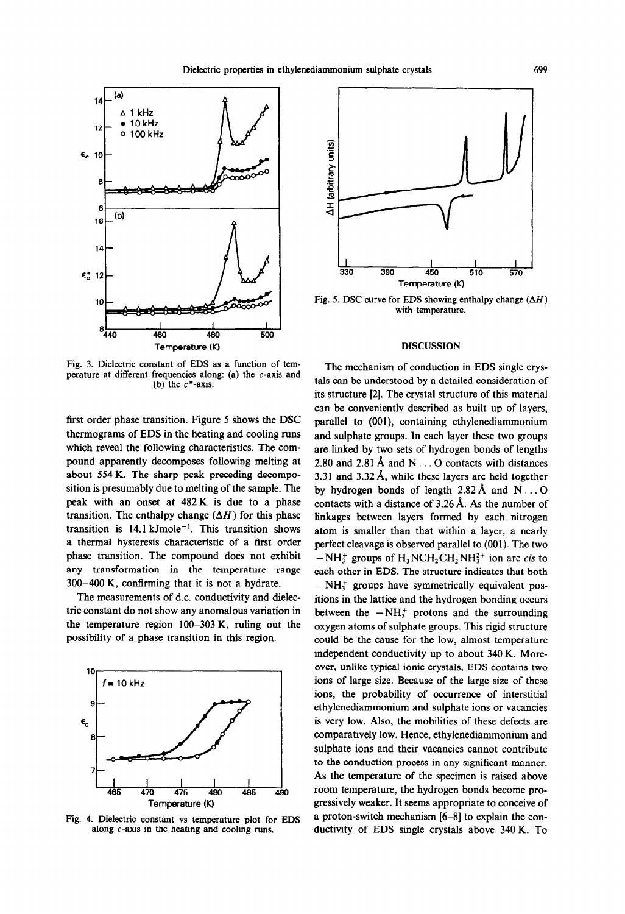

Fig. 3. Dielectric constant of EDS as a function of temperature at different frequencies along: (a) the c-axis and (b) the  $c^*$ -axis.

first order phase transition. Figure 5 shows the DSC thermograms of EDS in the heating and cooling runs which reveal the following characteristics. The compound apparently decomposes following melting at about 554 K. The sharp peak preceding decomposition is presumably due to melting of the sample. The peak with an onset at 482 K is due to a phase transition. The enthalpy change  $(\Delta H)$  for this phase transition is  $14.1 \text{ kmole}^{-1}$ . This transition shows a thermal hysteresis characteristic of a first order phase transition. The compound does not exhibit any transformation in the temperature range 300-400 K, confirming that it is not a hydrate.

The measurements of d.c. conductivity and dielectric constant do not show any anomalous variation in the temperature region 100-303 K, ruling out the possibility of a phase transition in this region.



Fig. 4. Dielectric constant vs temperature plot for EDS along c-axis in the heating and cooling runs.



Fig. 5. DSC curve for EDS showing enthalpy change  $(\Delta H)$ with temperature.

#### DISCUSSION

The mechanism of conduction in EDS single crystals can be understood by a detailed consideration of its structure [2]. The crystal structure of this material can be conveniently described as built up of layers, parallel to (OOl), containing ethylenediammonium and sulphate groups. In each layer these two groups are linked by two sets of hydrogen bonds of lengths 2.80 and 2.81 A and **N . . 0** contacts with distances 3.31 and 3.32 Å, while these layers are held together by hydrogen bonds of length  $2.82 \text{ Å}$  and  $\text{N} \dots \text{O}$ contacts with a distance of 3.26 A. As the number of linkages between layers formed by each nitrogen atom is smaller than that within a layer, a nearly perfect cleavage is observed parallel to (001). The two  $-NH_3^+$  groups of  $H_3NCH_2CH_2NH_3^{2+}$  ion are *cis* to each other in EDS. The structure indicates that both  $-NH<sub>1</sub><sup>+</sup>$  groups have symmetrically equivalent positions in the lattice and the hydrogen bonding occurs between the  $-NH_3^+$  protons and the surrounding oxygen atoms of sulphate groups. This rigid structure could be the cause for the low, almost temperature independent conductivity up to about 340 K. Moreover, unlike typical ionic crystals, EDS contains two ions of large size. Because of the large size of these ions, the probability of occurrence of interstitial ethylenediammonium and sulphate ions or vacancies is very low. Also, the mobilities of these defects are comparatively low. Hence, ethylenediammonium and sulphate ions and their vacancies cannot contribute to the conduction process in any significant manner. As the temperature of the specimen is raised above room temperature, the hydrogen bonds become progressively weaker. It seems appropriate to conceive of a proton-switch mechanism [6-81 to explain the conductivity of EDS single crystals above 340 K. To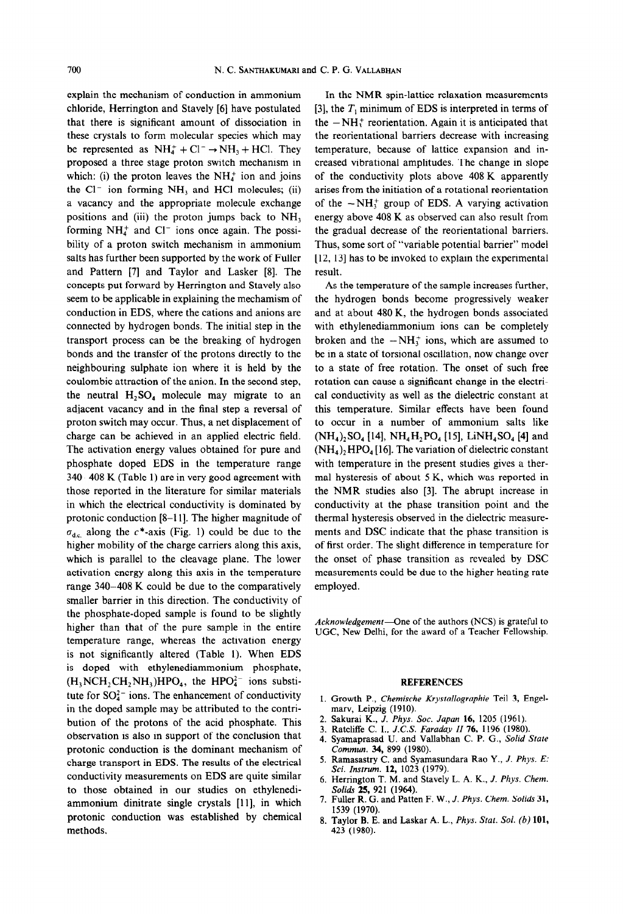explain the mechanism of conduction in ammonium chloride, Herrington and Stavely [6] have postulated that there is significant amount of dissociation in these crystals to form molecular species which may be represented as  $NH_4^+ + Cl^- \rightarrow NH_3 + HCl$ . They proposed a three stage proton switch mechanism in which: (i) the proton leaves the  $NH<sub>4</sub><sup>+</sup>$  ion and joins the  $Cl^-$  ion forming  $NH_3$  and HCl molecules; (ii) a vacancy and the appropriate molecule exchange positions and (iii) the proton jumps back to  $NH<sub>3</sub>$ forming  $NH<sub>4</sub><sup>+</sup>$  and Cl<sup>-</sup> ions once again. The possibility of a proton switch mechanism in ammonium salts has further been supported by the work of Fuller and Pattern [7] and Taylor and Lasker [8]. The concepts put forward by Herrington and Stavely also seem to be applicable in explaining the mechamism of conduction in EDS, where the cations and anions are connected by hydrogen bonds. The initial step in the transport process can be the breaking of hydrogen bonds and the transfer of the protons directly to the neighbouring sulphate ion where it is held by the coulombic attraction of the anion. In the second step, the neutral  $H_2SO_4$  molecule may migrate to an adjacent vacancy and in the final step a reversal of proton switch may occur. Thus, a net displacement of charge can be achieved in an applied electric field. The activation energy values obtained for pure and phosphate doped EDS in the temperature range 340-408 K (Table 1) are in very good agreement with those reported in the literature for similar materials in which the electrical conductivity is dominated by protonic conduction [S-l 11. The higher magnitude of  $\sigma_{d,c}$  along the c\*-axis (Fig. 1) could be due to the higher mobility of the charge carriers along this axis, which is parallel to the cleavage plane. The lower activation energy along this axis in the temperature range 340-408 K could be due to the comparatively smaller barrier in this direction. The conductivity of the phosphate-doped sample is found to be slightly higher than that of the pure sample in the entire temperature range, whereas the activation energy is not significantly altered (Table 1). When EDS is doped with ethylenediammonium phosphate,  $(H, NCH, CH, NH<sub>3</sub>)HPO<sub>4</sub>$ , the HPO $^{2-}_{4}$  ions substitute for  $SO_4^{2-}$  ions. The enhancement of conductivity in the doped sample may be attributed to the contribution of the protons of the acid phosphate. This observation is also in support of the conclusion that protonic conduction is the dominant mechanism of charge transport in EDS. The results of the electrical conductivity measurements on EDS are quite similar to those obtained in our studies on ethylenediammonium dinitrate single crystals **[l** 11, in which protonic conduction was established by chemical methods.

In the NMR spin-lattice relaxation measurements [3], the  $T_1$  minimum of EDS is interpreted in terms of the  $-NH_3^+$  reorientation. Again it is anticipated that the reorientational barriers decrease with increasing temperature, because of lattice expansion and increased vibrational amplitudes. The change in slope of the conductivity plots above 408 K apparently arises from the initiation of a rotational reorientation of the  $-NH_3^+$  group of EDS. A varying activation energy above 408 K as observed can also result from the gradual decrease of the reorientational barriers. Thus, some sort of "variable potential barrier" mode1 [12, 13] has to be invoked to explain the experimental result.

As the temperature of the sample increases further, the hydrogen bonds become progressively weaker and at about 480 K, the hydrogen bonds associated with ethylenediammonium ions can be completely broken and the  $-NH_3^+$  ions, which are assumed to be in a state of torsional oscillation, now change over to a state of free rotation. The onset of such free rotation can cause a significant change in the electrical conductivity as well as the dielectric constant at this temperature. Similar effects have been found to occur in a number of ammonium salts like  $(NH_4)_2SO_4$  [14],  $NH_4H_2PO_4$  [15], LiNH<sub>4</sub>SO<sub>4</sub> [4] and  $(NH<sub>4</sub>)<sub>2</sub> HPO<sub>4</sub>$  [16]. The variation of dielectric constant with temperature in the present studies gives a thermal hysteresis of about 5 K, which was reported in the NMR studies also [3]. The abrupt increase in conductivity at the phase transition point and the thermal hysteresis observed in the dielectric measurements and DSC indicate that the phase transition is of first order. The slight difference in temperature for the onset of phase transition as revealed by DSC measurements could be due to the higher heating rate employed.

Acknowledgement-One of the authors (NCS) is grateful to **UGC, New Delhi, for the award of a Teacher Fellowship.** 

#### **REFERENCES**

- **1. Growth P.,** *Chemische Krystallographie* Teil *3,* **Engelmarv, Leipzig (1910).**
- **2. Sakurai K.,** *J.* **Phvs. Sot. Japan 16, 1205 (1961).**
- **3. Ratcliffe C. I.,** *J.C.S. Faraday II 76, 1196 (1980).*
- *4.* **Svamanrasad U. and Vallabhan C. P. G.,** *Solid State*  Commun. 34, 899 (1980).
- **5. Ramasastry C. and Syamasundara Rao Y.,** *J. Phys. E: Sci. Instrum. 12, 1023 (1979).*
- *6.* **Herrington T. M. and Stavely L. A. K.,** *J. Phys. Chem. Solids* **25, 921 (1964).**
- **7. Fuller R. G. and Patten F. W.,** *J. Phys. Chem.* **Solids 31, 1539 (1970).**
- **8. Taylor B. E. and Laskar A. L.,** *Phys. Stat. Sol. (b)* **101, 423 (1980).**